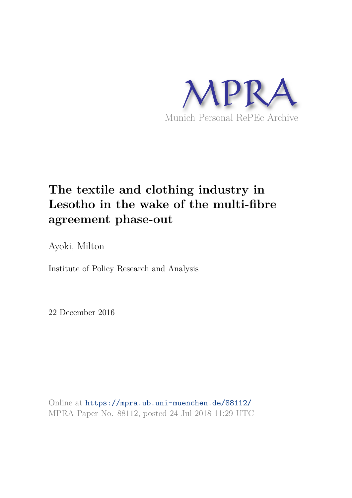

# **The textile and clothing industry in Lesotho in the wake of the multi-fibre agreement phase-out**

Ayoki, Milton

Institute of Policy Research and Analysis

22 December 2016

Online at https://mpra.ub.uni-muenchen.de/88112/ MPRA Paper No. 88112, posted 24 Jul 2018 11:29 UTC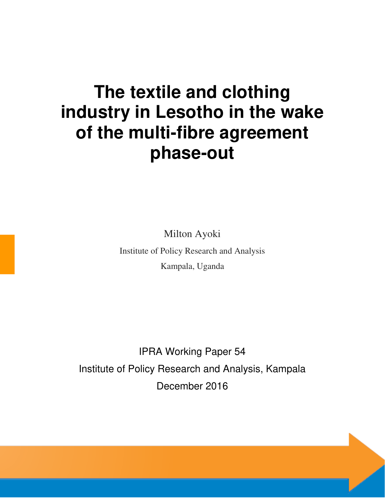# **The textile and clothing industry in Lesotho in the wake of the multi-fibre agreement phase-out**

Milton Ayoki

Institute of Policy Research and Analysis Kampala, Uganda

IPRA Working Paper 54 Institute of Policy Research and Analysis, Kampala December 2016

IPRA WORKING PAPER 65, 2018 i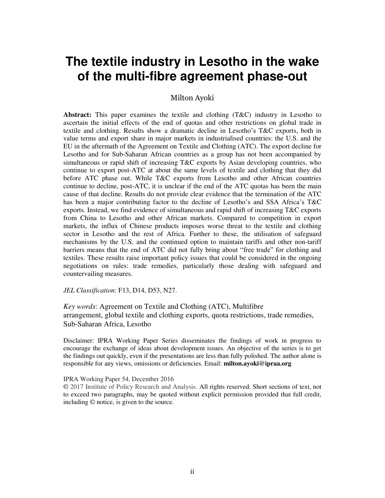# **The textile industry in Lesotho in the wake of the multi-fibre agreement phase-out**

#### Milton Ayoki

**Abstract:** This paper examines the textile and clothing (T&C) industry in Lesotho to ascertain the initial effects of the end of quotas and other restrictions on global trade in textile and clothing. Results show a dramatic decline in Lesotho's T&C exports, both in value terms and export share in major markets in industrialised countries: the U.S. and the EU in the aftermath of the Agreement on Textile and Clothing (ATC). The export decline for Lesotho and for Sub-Saharan African countries as a group has not been accompanied by simultaneous or rapid shift of increasing T&C exports by Asian developing countries, who continue to export post-ATC at about the same levels of textile and clothing that they did before ATC phase out. While T&C exports from Lesotho and other African countries continue to decline, post-ATC, it is unclear if the end of the ATC quotas has been the main cause of that decline. Results do not provide clear evidence that the termination of the ATC has been a major contributing factor to the decline of Lesotho's and SSA Africa's T&C exports. Instead, we find evidence of simultaneous and rapid shift of increasing T&C exports from China to Lesotho and other African markets. Compared to competition in export markets, the influx of Chinese products imposes worse threat to the textile and clothing sector in Lesotho and the rest of Africa. Further to these, the utilisation of safeguard mechanisms by the U.S. and the continued option to maintain tariffs and other non-tariff barriers means that the end of ATC did not fully bring about "free trade" for clothing and textiles. These results raise important policy issues that could be considered in the ongoing negotiations on rules: trade remedies, particularly those dealing with safeguard and countervailing measures.

*JEL Classification*: F13, D14, D53, N27.

*Key words*: Agreement on Textile and Clothing (ATC), Multifibre arrangement, global textile and clothing exports, quota restrictions, trade remedies, Sub-Saharan Africa, Lesotho

Disclaimer: IPRA Working Paper Series disseminates the findings of work in progress to encourage the exchange of ideas about development issues. An objective of the series is to get the findings out quickly, even if the presentations are less than fully polished. The author alone is responsible for any views, omissions or deficiencies. Email: **milton.ayoki@ipraa.org** 

#### IPRA Working Paper 54, December 2016

**©** 2017 Institute of Policy Research and Analysis. All rights reserved. Short sections of text, not to exceed two paragraphs, may be quoted without explicit permission provided that full credit, including © notice, is given to the source.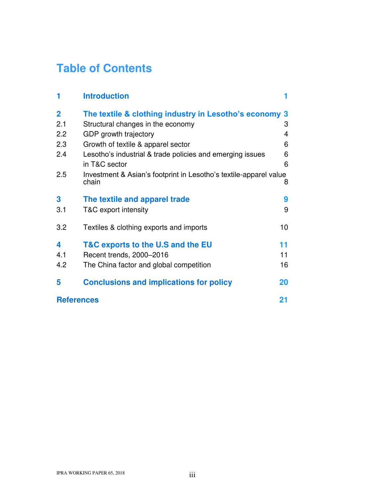# **Table of Contents**

| 1                 | <b>Introduction</b>                                                        |    |
|-------------------|----------------------------------------------------------------------------|----|
| $\overline{2}$    | The textile & clothing industry in Lesotho's economy 3                     |    |
| 2.1               | Structural changes in the economy                                          | 3  |
| 2.2               | GDP growth trajectory                                                      | 4  |
| 2.3               | Growth of textile & apparel sector                                         | 6  |
| 2.4               | Lesotho's industrial & trade policies and emerging issues                  | 6  |
|                   | in T&C sector                                                              | 6  |
| 2.5               | Investment & Asian's footprint in Lesotho's textile-apparel value<br>chain | 8  |
| 3                 | The textile and apparel trade                                              | 9  |
| 3.1               | T&C export intensity                                                       | 9  |
| 3.2               | Textiles & clothing exports and imports                                    | 10 |
| 4                 | T&C exports to the U.S and the EU                                          | 11 |
| 4.1               | Recent trends, 2000-2016                                                   | 11 |
| 4.2               | The China factor and global competition                                    | 16 |
| 5                 | <b>Conclusions and implications for policy</b>                             | 20 |
| <b>References</b> |                                                                            | 21 |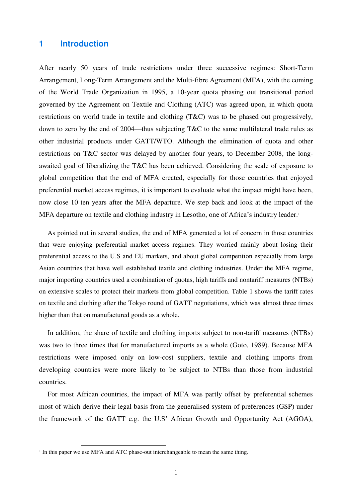## **1 Introduction**

After nearly 50 years of trade restrictions under three successive regimes: Short-Term Arrangement, Long-Term Arrangement and the Multi-fibre Agreement (MFA), with the coming of the World Trade Organization in 1995, a 10-year quota phasing out transitional period governed by the Agreement on Textile and Clothing (ATC) was agreed upon, in which quota restrictions on world trade in textile and clothing (T&C) was to be phased out progressively, down to zero by the end of 2004—thus subjecting T&C to the same multilateral trade rules as other industrial products under GATT/WTO. Although the elimination of quota and other restrictions on T&C sector was delayed by another four years, to December 2008, the longawaited goal of liberalizing the T&C has been achieved. Considering the scale of exposure to global competition that the end of MFA created, especially for those countries that enjoyed preferential market access regimes, it is important to evaluate what the impact might have been, now close 10 ten years after the MFA departure. We step back and look at the impact of the MFA departure on textile and clothing industry in Lesotho, one of Africa's industry leader. 1

As pointed out in several studies, the end of MFA generated a lot of concern in those countries that were enjoying preferential market access regimes. They worried mainly about losing their preferential access to the U.S and EU markets, and about global competition especially from large Asian countries that have well established textile and clothing industries. Under the MFA regime, major importing countries used a combination of quotas, high tariffs and nontariff measures (NTBs) on extensive scales to protect their markets from global competition. Table 1 shows the tariff rates on textile and clothing after the Tokyo round of GATT negotiations, which was almost three times higher than that on manufactured goods as a whole.

In addition, the share of textile and clothing imports subject to non-tariff measures (NTBs) was two to three times that for manufactured imports as a whole (Goto, 1989). Because MFA restrictions were imposed only on low-cost suppliers, textile and clothing imports from developing countries were more likely to be subject to NTBs than those from industrial countries.

For most African countries, the impact of MFA was partly offset by preferential schemes most of which derive their legal basis from the generalised system of preferences (GSP) under the framework of the GATT e.g. the U.S' African Growth and Opportunity Act (AGOA),

 $\overline{a}$ 

<sup>&</sup>lt;sup>1</sup> In this paper we use MFA and ATC phase-out interchangeable to mean the same thing.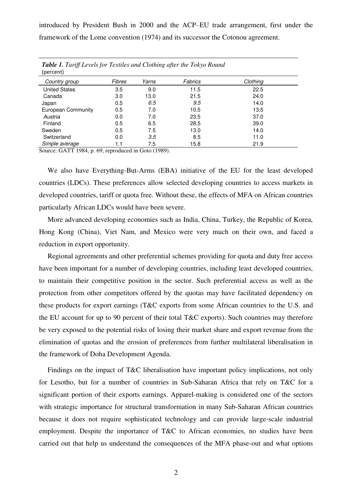introduced by President Bush in 2000 and the ACP–EU trade arrangement, first under the framework of the Lome convention (1974) and its successor the Cotonou agreement.

| <b>Table 1.</b> Tariff Levels for Textiles and Clothing after the Tokyo Round<br>(percent) |               |       |         |          |  |  |  |
|--------------------------------------------------------------------------------------------|---------------|-------|---------|----------|--|--|--|
| Country group                                                                              | <b>Fibres</b> | Yarns | Fabrics | Clothing |  |  |  |
| <b>United States</b>                                                                       | 3.5           | 9.0   | 11.5    | 22.5     |  |  |  |
| Canada                                                                                     | 3.0           | 13.0  | 21.5    | 24.0     |  |  |  |
| Japan                                                                                      | 0.5           | 6.5   | 9.5     | 14.0     |  |  |  |
| European Community                                                                         | 0.5           | 7.0   | 10.5    | 13.5     |  |  |  |
| Austria                                                                                    | 0.0           | 7.0   | 23.5    | 37.0     |  |  |  |
| Finland                                                                                    | 0.5           | 6.5   | 28.5    | 39.0     |  |  |  |
| Sweden                                                                                     | 0.5           | 7.5   | 13.0    | 14.0     |  |  |  |
| Switzerland                                                                                | 0.0           | 3.5   | 8.5     | 11.0     |  |  |  |
| Simple average                                                                             | 1.1           | 7.5   | 15.8    | 21.9     |  |  |  |

Source: GATT 1984, p. 69, reproduced in Goto (1989).

We also have Everything-But-Arms (EBA) initiative of the EU for the least developed countries (LDCs). These preferences allow selected developing countries to access markets in developed countries, tariff or quota free. Without these, the effects of MFA on African countries particularly African LDCs would have been severe.

More advanced developing economies such as India, China, Turkey, the Republic of Korea, Hong Kong (China), Viet Nam, and Mexico were very much on their own, and faced a reduction in export opportunity.

Regional agreements and other preferential schemes providing for quota and duty free access have been important for a number of developing countries, including least developed countries, to maintain their competitive position in the sector. Such preferential access as well as the protection from other competitors offered by the quotas may have facilitated dependency on these products for export earnings (T&C exports from some African countries to the U.S. and the EU account for up to 90 percent of their total T&C exports). Such countries may therefore be very exposed to the potential risks of losing their market share and export revenue from the elimination of quotas and the erosion of preferences from further multilateral liberalisation in the framework of Doha Development Agenda.

Findings on the impact of T&C liberalisation have important policy implications, not only for Lesotho, but for a number of countries in Sub-Saharan Africa that rely on T&C for a significant portion of their exports earnings. Apparel-making is considered one of the sectors with strategic importance for structural transformation in many Sub-Saharan African countries because it does not require sophisticated technology and can provide large-scale industrial employment. Despite the importance of T&C to African economies, no studies have been carried out that help us understand the consequences of the MFA phase-out and what options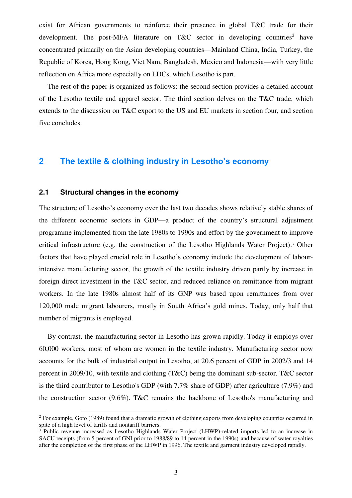exist for African governments to reinforce their presence in global T&C trade for their development. The post-MFA literature on  $T\&C$  sector in developing countries<sup>2</sup> have concentrated primarily on the Asian developing countries—Mainland China, India, Turkey, the Republic of Korea, Hong Kong, Viet Nam, Bangladesh, Mexico and Indonesia—with very little reflection on Africa more especially on LDCs, which Lesotho is part.

The rest of the paper is organized as follows: the second section provides a detailed account of the Lesotho textile and apparel sector. The third section delves on the T&C trade, which extends to the discussion on T&C export to the US and EU markets in section four, and section five concludes.

# **2 The textile & clothing industry in Lesotho's economy**

#### **2.1 Structural changes in the economy**

l

The structure of Lesotho's economy over the last two decades shows relatively stable shares of the different economic sectors in GDP—a product of the country's structural adjustment programme implemented from the late 1980s to 1990s and effort by the government to improve critical infrastructure (e.g. the construction of the Lesotho Highlands Water Project).<sup>3</sup> Other factors that have played crucial role in Lesotho's economy include the development of labourintensive manufacturing sector, the growth of the textile industry driven partly by increase in foreign direct investment in the T&C sector, and reduced reliance on remittance from migrant workers. In the late 1980s almost half of its GNP was based upon remittances from over 120,000 male migrant labourers, mostly in South Africa's gold mines. Today, only half that number of migrants is employed.

By contrast, the manufacturing sector in Lesotho has grown rapidly. Today it employs over 60,000 workers, most of whom are women in the textile industry. Manufacturing sector now accounts for the bulk of industrial output in Lesotho, at 20.6 percent of GDP in 2002/3 and 14 percent in 2009/10, with textile and clothing (T&C) being the dominant sub-sector. T&C sector is the third contributor to Lesotho's GDP (with 7.7% share of GDP) after agriculture (7.9%) and the construction sector (9.6%). T&C remains the backbone of Lesotho's manufacturing and

<sup>&</sup>lt;sup>2</sup> For example, Goto (1989) found that a dramatic growth of clothing exports from developing countries occurred in spite of a high level of tariffs and nontariff barriers.

<sup>&</sup>lt;sup>3</sup> Public revenue increased as Lesotho Highlands Water Project (LHWP)-related imports led to an increase in SACU receipts (from 5 percent of GNI prior to 1988/89 to 14 percent in the 1990s) and because of water royalties after the completion of the first phase of the LHWP in 1996. The textile and garment industry developed rapidly.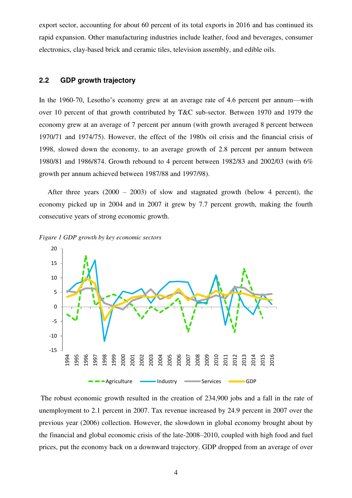export sector, accounting for about 60 percent of its total exports in 2016 and has continued its rapid expansion. Other manufacturing industries include leather, food and beverages, consumer electronics, clay-based brick and ceramic tiles, television assembly, and edible oils.

#### **2.2 GDP growth trajectory**

In the 1960-70, Lesotho's economy grew at an average rate of 4.6 percent per annum—with over 10 percent of that growth contributed by T&C sub-sector. Between 1970 and 1979 the economy grew at an average of 7 percent per annum (with growth averaged 8 percent between 1970/71 and 1974/75). However, the effect of the 1980s oil crisis and the financial crisis of 1998, slowed down the economy, to an average growth of 2.8 percent per annum between 1980/81 and 1986/874. Growth rebound to 4 percent between 1982/83 and 2002/03 (with 6% growth per annum achieved between 1987/88 and 1997/98).

After three years  $(2000 - 2003)$  of slow and stagnated growth (below 4 percent), the economy picked up in 2004 and in 2007 it grew by 7.7 percent growth, making the fourth consecutive years of strong economic growth.





The robust economic growth resulted in the creation of 234,900 jobs and a fall in the rate of unemployment to 2.1 percent in 2007. Tax revenue increased by 24.9 percent in 2007 over the previous year (2006) collection. However, the slowdown in global economy brought about by the financial and global economic crisis of the late-2008–2010, coupled with high food and fuel prices, put the economy back on a downward trajectory. GDP dropped from an average of over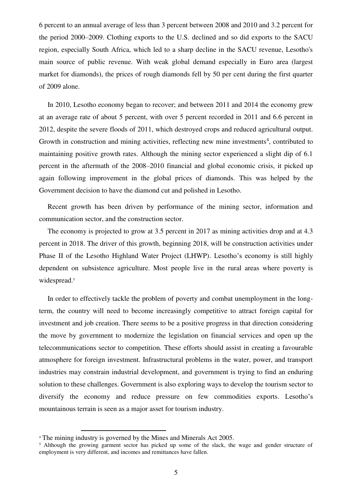6 percent to an annual average of less than 3 percent between 2008 and 2010 and 3.2 percent for the period 2000–2009. Clothing exports to the U.S. declined and so did exports to the SACU region, especially South Africa, which led to a sharp decline in the SACU revenue, Lesotho's main source of public revenue. With weak global demand especially in Euro area (largest market for diamonds), the prices of rough diamonds fell by 50 per cent during the first quarter of 2009 alone.

In 2010, Lesotho economy began to recover; and between 2011 and 2014 the economy grew at an average rate of about 5 percent, with over 5 percent recorded in 2011 and 6.6 percent in 2012, despite the severe floods of 2011, which destroyed crops and reduced agricultural output. Growth in construction and mining activities, reflecting new mine investments<sup>4</sup>, contributed to maintaining positive growth rates. Although the mining sector experienced a slight dip of 6.1 percent in the aftermath of the 2008–2010 financial and global economic crisis, it picked up again following improvement in the global prices of diamonds. This was helped by the Government decision to have the diamond cut and polished in Lesotho.

Recent growth has been driven by performance of the mining sector, information and communication sector, and the construction sector.

The economy is projected to grow at 3.5 percent in 2017 as mining activities drop and at 4.3 percent in 2018. The driver of this growth, beginning 2018, will be construction activities under Phase II of the Lesotho Highland Water Project (LHWP). Lesotho's economy is still highly dependent on subsistence agriculture. Most people live in the rural areas where poverty is widespread.<sup>5</sup>

In order to effectively tackle the problem of poverty and combat unemployment in the longterm, the country will need to become increasingly competitive to attract foreign capital for investment and job creation. There seems to be a positive progress in that direction considering the move by government to modernize the legislation on financial services and open up the telecommunications sector to competition. These efforts should assist in creating a favourable atmosphere for foreign investment. Infrastructural problems in the water, power, and transport industries may constrain industrial development, and government is trying to find an enduring solution to these challenges. Government is also exploring ways to develop the tourism sector to diversify the economy and reduce pressure on few commodities exports. Lesotho's mountainous terrain is seen as a major asset for tourism industry.

 $\overline{a}$ 

<sup>4</sup> The mining industry is governed by the Mines and Minerals Act 2005.

<sup>&</sup>lt;sup>5</sup> Although the growing garment sector has picked up some of the slack, the wage and gender structure of employment is very different, and incomes and remittances have fallen.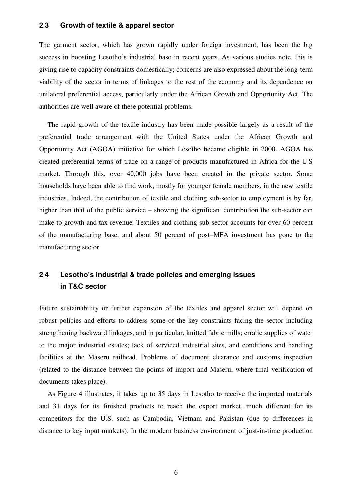#### **2.3 Growth of textile & apparel sector**

The garment sector, which has grown rapidly under foreign investment, has been the big success in boosting Lesotho's industrial base in recent years. As various studies note, this is giving rise to capacity constraints domestically; concerns are also expressed about the long-term viability of the sector in terms of linkages to the rest of the economy and its dependence on unilateral preferential access, particularly under the African Growth and Opportunity Act. The authorities are well aware of these potential problems.

The rapid growth of the textile industry has been made possible largely as a result of the preferential trade arrangement with the United States under the African Growth and Opportunity Act (AGOA) initiative for which Lesotho became eligible in 2000. AGOA has created preferential terms of trade on a range of products manufactured in Africa for the U.S market. Through this, over 40,000 jobs have been created in the private sector. Some households have been able to find work, mostly for younger female members, in the new textile industries. Indeed, the contribution of textile and clothing sub-sector to employment is by far, higher than that of the public service – showing the significant contribution the sub-sector can make to growth and tax revenue. Textiles and clothing sub-sector accounts for over 60 percent of the manufacturing base, and about 50 percent of post–MFA investment has gone to the manufacturing sector.

# **2.4 Lesotho's industrial & trade policies and emerging issues in T&C sector**

Future sustainability or further expansion of the textiles and apparel sector will depend on robust policies and efforts to address some of the key constraints facing the sector including strengthening backward linkages, and in particular, knitted fabric mills; erratic supplies of water to the major industrial estates; lack of serviced industrial sites, and conditions and handling facilities at the Maseru railhead. Problems of document clearance and customs inspection (related to the distance between the points of import and Maseru, where final verification of documents takes place).

As Figure 4 illustrates, it takes up to 35 days in Lesotho to receive the imported materials and 31 days for its finished products to reach the export market, much different for its competitors for the U.S. such as Cambodia, Vietnam and Pakistan (due to differences in distance to key input markets). In the modern business environment of just-in-time production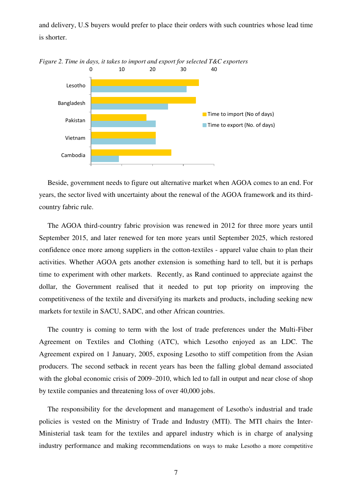and delivery, U.S buyers would prefer to place their orders with such countries whose lead time is shorter.



Beside, government needs to figure out alternative market when AGOA comes to an end. For years, the sector lived with uncertainty about the renewal of the AGOA framework and its thirdcountry fabric rule.

The AGOA third-country fabric provision was renewed in 2012 for three more years until September 2015, and later renewed for ten more years until September 2025, which restored confidence once more among suppliers in the cotton-textiles - apparel value chain to plan their activities. Whether AGOA gets another extension is something hard to tell, but it is perhaps time to experiment with other markets. Recently, as Rand continued to appreciate against the dollar, the Government realised that it needed to put top priority on improving the competitiveness of the textile and diversifying its markets and products, including seeking new markets for textile in SACU, SADC, and other African countries.

The country is coming to term with the lost of trade preferences under the Multi-Fiber Agreement on Textiles and Clothing (ATC), which Lesotho enjoyed as an LDC. The Agreement expired on 1 January, 2005, exposing Lesotho to stiff competition from the Asian producers. The second setback in recent years has been the falling global demand associated with the global economic crisis of 2009–2010, which led to fall in output and near close of shop by textile companies and threatening loss of over 40,000 jobs.

The responsibility for the development and management of Lesotho's industrial and trade policies is vested on the Ministry of Trade and Industry (MTI). The MTI chairs the Inter-Ministerial task team for the textiles and apparel industry which is in charge of analysing industry performance and making recommendations on ways to make Lesotho a more competitive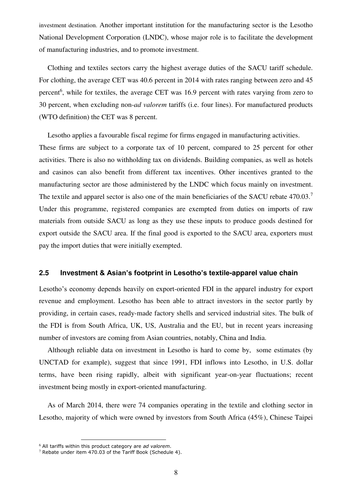investment destination. Another important institution for the manufacturing sector is the Lesotho National Development Corporation (LNDC), whose major role is to facilitate the development of manufacturing industries, and to promote investment.

Clothing and textiles sectors carry the highest average duties of the SACU tariff schedule. For clothing, the average CET was 40.6 percent in 2014 with rates ranging between zero and 45 percent<sup>6</sup>, while for textiles, the average CET was 16.9 percent with rates varying from zero to 30 percent, when excluding non-*ad valorem* tariffs (i.e. four lines). For manufactured products (WTO definition) the CET was 8 percent.

Lesotho applies a favourable fiscal regime for firms engaged in manufacturing activities. These firms are subject to a corporate tax of 10 percent, compared to 25 percent for other activities. There is also no withholding tax on dividends. Building companies, as well as hotels and casinos can also benefit from different tax incentives. Other incentives granted to the manufacturing sector are those administered by the LNDC which focus mainly on investment. The textile and apparel sector is also one of the main beneficiaries of the SACU rebate 470.03.<sup>7</sup> Under this programme, registered companies are exempted from duties on imports of raw materials from outside SACU as long as they use these inputs to produce goods destined for export outside the SACU area. If the final good is exported to the SACU area, exporters must pay the import duties that were initially exempted.

#### **2.5 Investment & Asian's footprint in Lesotho's textile-apparel value chain**

Lesotho's economy depends heavily on export-oriented FDI in the apparel industry for export revenue and employment. Lesotho has been able to attract investors in the sector partly by providing, in certain cases, ready-made factory shells and serviced industrial sites. The bulk of the FDI is from South Africa, UK, US, Australia and the EU, but in recent years increasing number of investors are coming from Asian countries, notably, China and India.

Although reliable data on investment in Lesotho is hard to come by, some estimates (by UNCTAD for example), suggest that since 1991, FDI inflows into Lesotho, in U.S. dollar terms, have been rising rapidly, albeit with significant year-on-year fluctuations; recent investment being mostly in export-oriented manufacturing.

As of March 2014, there were 74 companies operating in the textile and clothing sector in Lesotho, majority of which were owned by investors from South Africa (45%), Chinese Taipei

 $\overline{a}$ 

<sup>6</sup> All tariffs within this product category are *ad valorem*.

 $7$  Rebate under item 470.03 of the Tariff Book (Schedule 4).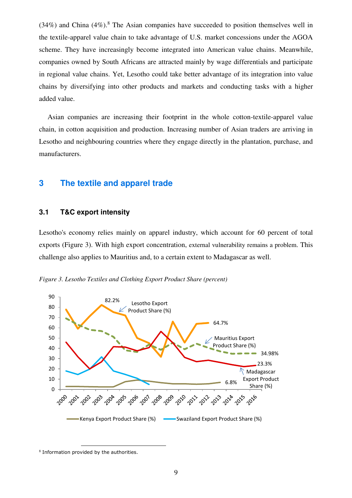$(34%)$  and China  $(4%)$ .<sup>8</sup> The Asian companies have succeeded to position themselves well in the textile-apparel value chain to take advantage of U.S. market concessions under the AGOA scheme. They have increasingly become integrated into American value chains. Meanwhile, companies owned by South Africans are attracted mainly by wage differentials and participate in regional value chains. Yet, Lesotho could take better advantage of its integration into value chains by diversifying into other products and markets and conducting tasks with a higher added value.

Asian companies are increasing their footprint in the whole cotton-textile-apparel value chain, in cotton acquisition and production. Increasing number of Asian traders are arriving in Lesotho and neighbouring countries where they engage directly in the plantation, purchase, and manufacturers.

# **3 The textile and apparel trade**

#### **3.1 T&C export intensity**

Lesotho's economy relies mainly on apparel industry, which account for 60 percent of total exports (Figure 3). With high export concentration, external vulnerability remains a problem. This challenge also applies to Mauritius and, to a certain extent to Madagascar as well.





<sup>8</sup> Information provided by the authorities.

l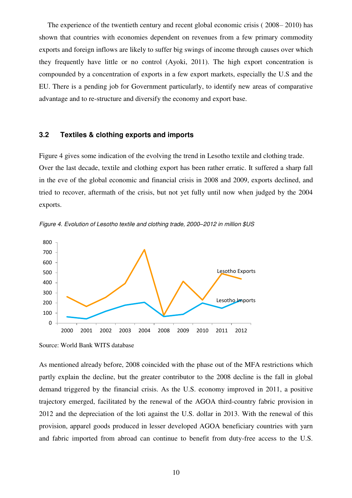The experience of the twentieth century and recent global economic crisis ( 2008– 2010) has shown that countries with economies dependent on revenues from a few primary commodity exports and foreign inflows are likely to suffer big swings of income through causes over which they frequently have little or no control (Ayoki, 2011). The high export concentration is compounded by a concentration of exports in a few export markets, especially the U.S and the EU. There is a pending job for Government particularly, to identify new areas of comparative advantage and to re-structure and diversify the economy and export base.

#### **3.2 Textiles & clothing exports and imports**

Figure 4 gives some indication of the evolving the trend in Lesotho textile and clothing trade. Over the last decade, textile and clothing export has been rather erratic. It suffered a sharp fall in the eve of the global economic and financial crisis in 2008 and 2009, exports declined, and tried to recover, aftermath of the crisis, but not yet fully until now when judged by the 2004 exports.



2000 2001 2002 2003 2004 2008 2009 2010 2011 2012

Figure 4. Evolution of Lesotho textile and clothing trade, 2000*–*2012 in million \$US

As mentioned already before, 2008 coincided with the phase out of the MFA restrictions which partly explain the decline, but the greater contributor to the 2008 decline is the fall in global demand triggered by the financial crisis. As the U.S. economy improved in 2011, a positive trajectory emerged, facilitated by the renewal of the AGOA third-country fabric provision in 2012 and the depreciation of the loti against the U.S. dollar in 2013. With the renewal of this provision, apparel goods produced in lesser developed AGOA beneficiary countries with yarn and fabric imported from abroad can continue to benefit from duty-free access to the U.S.

Source: World Bank WITS database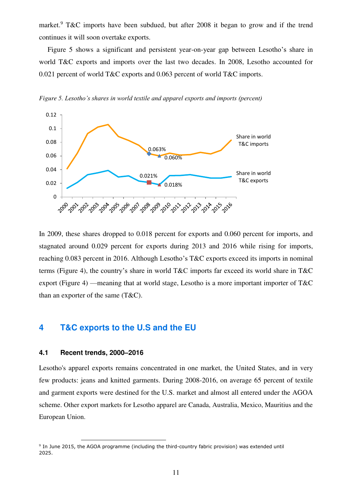market.<sup>9</sup> T&C imports have been subdued, but after 2008 it began to grow and if the trend continues it will soon overtake exports.

Figure 5 shows a significant and persistent year-on-year gap between Lesotho's share in world T&C exports and imports over the last two decades. In 2008, Lesotho accounted for 0.021 percent of world T&C exports and 0.063 percent of world T&C imports.



*Figure 5. Lesotho's shares in world textile and apparel exports and imports (percent)*

In 2009, these shares dropped to 0.018 percent for exports and 0.060 percent for imports, and stagnated around 0.029 percent for exports during 2013 and 2016 while rising for imports, reaching 0.083 percent in 2016. Although Lesotho's T&C exports exceed its imports in nominal terms (Figure 4), the country's share in world T&C imports far exceed its world share in T&C export (Figure 4) —meaning that at world stage, Lesotho is a more important importer of T&C than an exporter of the same (T&C).

# **4 T&C exports to the U.S and the EU**

#### **4.1 Recent trends, 2000–2016**

 $\overline{a}$ 

Lesotho's apparel exports remains concentrated in one market, the United States, and in very few products: jeans and knitted garments. During 2008-2016, on average 65 percent of textile and garment exports were destined for the U.S. market and almost all entered under the AGOA scheme. Other export markets for Lesotho apparel are Canada, Australia, Mexico, Mauritius and the European Union.

<sup>&</sup>lt;sup>9</sup> In June 2015, the AGOA programme (including the third-country fabric provision) was extended until 2025.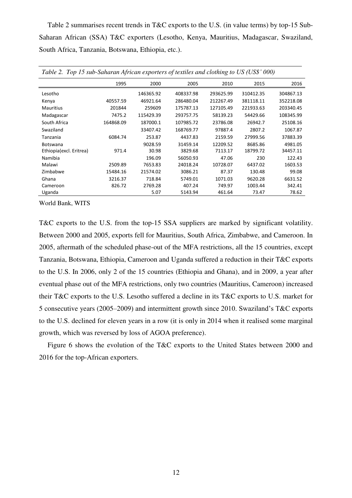Table 2 summarises recent trends in T&C exports to the U.S. (in value terms) by top-15 Sub-Saharan African (SSA) T&C exporters (Lesotho, Kenya, Mauritius, Madagascar, Swaziland, South Africa, Tanzania, Botswana, Ethiopia, etc.).

| Table 2. Top 15 sub-Saharan African exporters of textiles and clothing to US (US\$' 000) |           |           |           |           |           |           |  |
|------------------------------------------------------------------------------------------|-----------|-----------|-----------|-----------|-----------|-----------|--|
|                                                                                          | 1995      | 2000      | 2005      | 2010      | 2015      | 2016      |  |
| Lesotho                                                                                  |           | 146365.92 | 408337.98 | 293625.99 | 310412.35 | 304867.13 |  |
| Kenya                                                                                    | 40557.59  | 46921.64  | 286480.04 | 212267.49 | 381118.11 | 352218.08 |  |
| Mauritius                                                                                | 201844    | 259609    | 175787.13 | 127105.49 | 221933.63 | 203340.45 |  |
| Madagascar                                                                               | 7475.2    | 115429.39 | 293757.75 | 58139.23  | 54429.66  | 108345.99 |  |
| South Africa                                                                             | 164868.09 | 187000.1  | 107985.72 | 23786.08  | 26942.7   | 25108.16  |  |
| Swaziland                                                                                |           | 33407.42  | 168769.77 | 97887.4   | 2807.2    | 1067.87   |  |
| Tanzania                                                                                 | 6084.74   | 253.87    | 4437.83   | 2159.59   | 27999.56  | 37883.39  |  |
| <b>Botswana</b>                                                                          |           | 9028.59   | 31459.14  | 12209.52  | 8685.86   | 4981.05   |  |
| Ethiopia(excl. Eritrea)                                                                  | 971.4     | 30.98     | 3829.68   | 7113.17   | 18799.72  | 34457.11  |  |
| Namibia                                                                                  |           | 196.09    | 56050.93  | 47.06     | 230       | 122.43    |  |
| Malawi                                                                                   | 2509.89   | 7653.83   | 24018.24  | 10728.07  | 6437.02   | 1603.53   |  |
| Zimbabwe                                                                                 | 15484.16  | 21574.02  | 3086.21   | 87.37     | 130.48    | 99.08     |  |
| Ghana                                                                                    | 3216.37   | 718.84    | 5749.01   | 1071.03   | 9620.28   | 6631.52   |  |
| Cameroon                                                                                 | 826.72    | 2769.28   | 407.24    | 749.97    | 1003.44   | 342.41    |  |
| Uganda                                                                                   |           | 5.07      | 5143.94   | 461.64    | 73.47     | 78.62     |  |

World Bank, WITS

T&C exports to the U.S. from the top-15 SSA suppliers are marked by significant volatility. Between 2000 and 2005, exports fell for Mauritius, South Africa, Zimbabwe, and Cameroon. In 2005, aftermath of the scheduled phase-out of the MFA restrictions, all the 15 countries, except Tanzania, Botswana, Ethiopia, Cameroon and Uganda suffered a reduction in their T&C exports to the U.S. In 2006, only 2 of the 15 countries (Ethiopia and Ghana), and in 2009, a year after eventual phase out of the MFA restrictions, only two countries (Mauritius, Cameroon) increased their T&C exports to the U.S. Lesotho suffered a decline in its T&C exports to U.S. market for 5 consecutive years (2005–2009) and intermittent growth since 2010. Swaziland's T&C exports to the U.S. declined for eleven years in a row (it is only in 2014 when it realised some marginal growth, which was reversed by loss of AGOA preference).

Figure 6 shows the evolution of the T&C exports to the United States between 2000 and 2016 for the top-African exporters.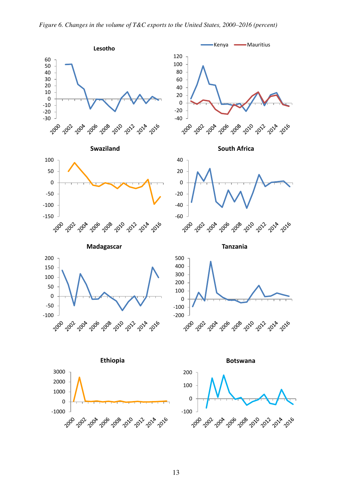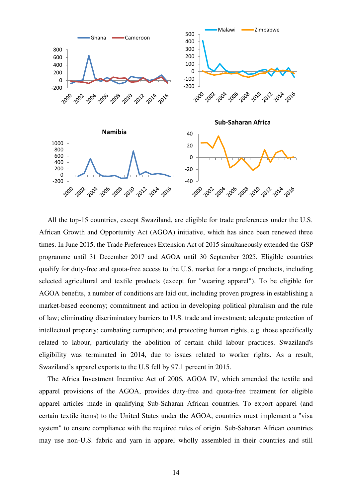

All the top-15 countries, except Swaziland, are eligible for trade preferences under the U.S. African Growth and Opportunity Act (AGOA) initiative, which has since been renewed three times. In June 2015, the Trade Preferences Extension Act of 2015 simultaneously extended the GSP programme until 31 December 2017 and AGOA until 30 September 2025. Eligible countries qualify for duty-free and quota-free access to the U.S. market for a range of products, including selected agricultural and textile products (except for "wearing apparel"). To be eligible for AGOA benefits, a number of conditions are laid out, including proven progress in establishing a market-based economy; commitment and action in developing political pluralism and the rule of law; eliminating discriminatory barriers to U.S. trade and investment; adequate protection of intellectual property; combating corruption; and protecting human rights, e.g. those specifically related to labour, particularly the abolition of certain child labour practices. Swaziland's eligibility was terminated in 2014, due to issues related to worker rights. As a result, Swaziland's apparel exports to the U.S fell by 97.1 percent in 2015.

The Africa Investment Incentive Act of 2006, AGOA IV, which amended the textile and apparel provisions of the AGOA, provides duty-free and quota-free treatment for eligible apparel articles made in qualifying Sub-Saharan African countries. To export apparel (and certain textile items) to the United States under the AGOA, countries must implement a "visa system" to ensure compliance with the required rules of origin. Sub-Saharan African countries may use non-U.S. fabric and yarn in apparel wholly assembled in their countries and still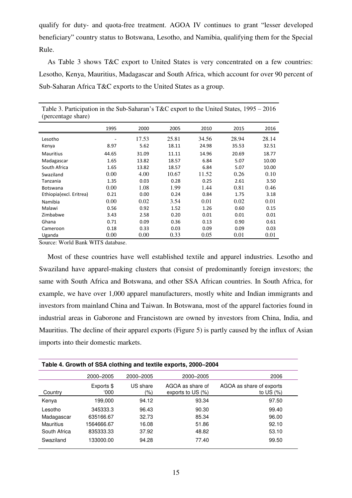qualify for duty- and quota-free treatment. AGOA IV continues to grant "lesser developed beneficiary" country status to Botswana, Lesotho, and Namibia, qualifying them for the Special Rule.

As Table 3 shows T&C export to United States is very concentrated on a few countries: Lesotho, Kenya, Mauritius, Madagascar and South Africa, which account for over 90 percent of Sub-Saharan Africa T&C exports to the United States as a group.

| (percentage share)      |       |       |       |       |       |       |
|-------------------------|-------|-------|-------|-------|-------|-------|
|                         | 1995  | 2000  | 2005  | 2010  | 2015  | 2016  |
| Lesotho                 |       | 17.53 | 25.81 | 34.56 | 28.94 | 28.14 |
| Kenya                   | 8.97  | 5.62  | 18.11 | 24.98 | 35.53 | 32.51 |
| <b>Mauritius</b>        | 44.65 | 31.09 | 11.11 | 14.96 | 20.69 | 18.77 |
| Madagascar              | 1.65  | 13.82 | 18.57 | 6.84  | 5.07  | 10.00 |
| South Africa            | 1.65  | 13.82 | 18.57 | 6.84  | 5.07  | 10.00 |
| Swaziland               | 0.00  | 4.00  | 10.67 | 11.52 | 0.26  | 0.10  |
| Tanzania                | 1.35  | 0.03  | 0.28  | 0.25  | 2.61  | 3.50  |
| <b>Botswana</b>         | 0.00  | 1.08  | 1.99  | 1.44  | 0.81  | 0.46  |
| Ethiopia(excl. Eritrea) | 0.21  | 0.00  | 0.24  | 0.84  | 1.75  | 3.18  |
| Namibia                 | 0.00  | 0.02  | 3.54  | 0.01  | 0.02  | 0.01  |
| Malawi                  | 0.56  | 0.92  | 1.52  | 1.26  | 0.60  | 0.15  |
| Zimbabwe                | 3.43  | 2.58  | 0.20  | 0.01  | 0.01  | 0.01  |
| Ghana                   | 0.71  | 0.09  | 0.36  | 0.13  | 0.90  | 0.61  |
| Cameroon                | 0.18  | 0.33  | 0.03  | 0.09  | 0.09  | 0.03  |
| Uganda                  | 0.00  | 0.00  | 0.33  | 0.05  | 0.01  | 0.01  |

Table 3. Participation in the Sub-Saharan's T&C export to the United States, 1995 – 2016

Source: World Bank WITS database.

Most of these countries have well established textile and apparel industries. Lesotho and Swaziland have apparel-making clusters that consist of predominantly foreign investors; the same with South Africa and Botswana, and other SSA African countries. In South Africa, for example, we have over 1,000 apparel manufacturers, mostly white and Indian immigrants and investors from mainland China and Taiwan. In Botswana, most of the apparel factories found in industrial areas in Gaborone and Francistown are owned by investors from China, India, and Mauritius. The decline of their apparel exports (Figure 5) is partly caused by the influx of Asian imports into their domestic markets.

| Table 4. Growth of SSA clothing and textile exports, 2000–2004 |                    |                 |                                       |                                          |  |  |  |  |
|----------------------------------------------------------------|--------------------|-----------------|---------------------------------------|------------------------------------------|--|--|--|--|
|                                                                | 2000-2005          | 2000-2005       | 2000-2005                             | 2006                                     |  |  |  |  |
| Country                                                        | Exports \$<br>000' | US share<br>(%) | AGOA as share of<br>exports to US (%) | AGOA as share of exports<br>to US $(% )$ |  |  |  |  |
| Kenya                                                          | 199.000            | 94.12           | 93.34                                 | 97.50                                    |  |  |  |  |
| Lesotho                                                        | 345333.3           | 96.43           | 90.30                                 | 99.40                                    |  |  |  |  |
| Madagascar                                                     | 635166.67          | 32.73           | 85.34                                 | 96.00                                    |  |  |  |  |
| Mauritius                                                      | 1564666.67         | 16.08           | 51.86                                 | 92.10                                    |  |  |  |  |
| South Africa                                                   | 835333.33          | 37.92           | 48.82                                 | 53.10                                    |  |  |  |  |
| Swaziland                                                      | 133000.00          | 94.28           | 77.40                                 | 99.50                                    |  |  |  |  |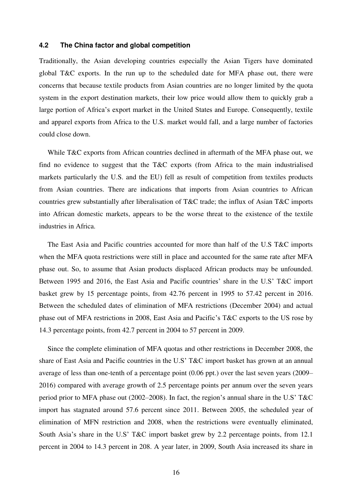#### **4.2 The China factor and global competition**

Traditionally, the Asian developing countries especially the Asian Tigers have dominated global T&C exports. In the run up to the scheduled date for MFA phase out, there were concerns that because textile products from Asian countries are no longer limited by the quota system in the export destination markets, their low price would allow them to quickly grab a large portion of Africa's export market in the United States and Europe. Consequently, textile and apparel exports from Africa to the U.S. market would fall, and a large number of factories could close down.

While T&C exports from African countries declined in aftermath of the MFA phase out, we find no evidence to suggest that the T&C exports (from Africa to the main industrialised markets particularly the U.S. and the EU) fell as result of competition from textiles products from Asian countries. There are indications that imports from Asian countries to African countries grew substantially after liberalisation of T&C trade; the influx of Asian T&C imports into African domestic markets, appears to be the worse threat to the existence of the textile industries in Africa.

The East Asia and Pacific countries accounted for more than half of the U.S T&C imports when the MFA quota restrictions were still in place and accounted for the same rate after MFA phase out. So, to assume that Asian products displaced African products may be unfounded. Between 1995 and 2016, the East Asia and Pacific countries' share in the U.S' T&C import basket grew by 15 percentage points, from 42.76 percent in 1995 to 57.42 percent in 2016. Between the scheduled dates of elimination of MFA restrictions (December 2004) and actual phase out of MFA restrictions in 2008, East Asia and Pacific's T&C exports to the US rose by 14.3 percentage points, from 42.7 percent in 2004 to 57 percent in 2009.

Since the complete elimination of MFA quotas and other restrictions in December 2008, the share of East Asia and Pacific countries in the U.S' T&C import basket has grown at an annual average of less than one-tenth of a percentage point (0.06 ppt.) over the last seven years (2009– 2016) compared with average growth of 2.5 percentage points per annum over the seven years period prior to MFA phase out (2002–2008). In fact, the region's annual share in the U.S' T&C import has stagnated around 57.6 percent since 2011. Between 2005, the scheduled year of elimination of MFN restriction and 2008, when the restrictions were eventually eliminated, South Asia's share in the U.S' T&C import basket grew by 2.2 percentage points, from 12.1 percent in 2004 to 14.3 percent in 208. A year later, in 2009, South Asia increased its share in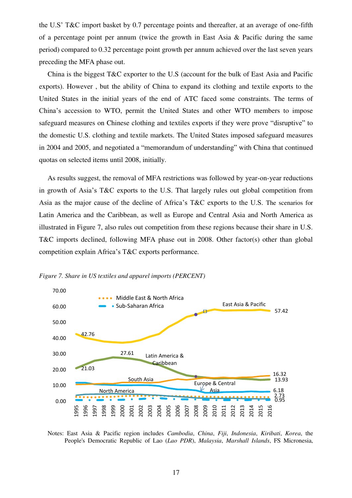the U.S' T&C import basket by 0.7 percentage points and thereafter, at an average of one-fifth of a percentage point per annum (twice the growth in East Asia & Pacific during the same period) compared to 0.32 percentage point growth per annum achieved over the last seven years preceding the MFA phase out.

China is the biggest T&C exporter to the U.S (account for the bulk of East Asia and Pacific exports). However , but the ability of China to expand its clothing and textile exports to the United States in the initial years of the end of ATC faced some constraints. The terms of China's accession to WTO, permit the United States and other WTO members to impose safeguard measures on Chinese clothing and textiles exports if they were prove "disruptive" to the domestic U.S. clothing and textile markets. The United States imposed safeguard measures in 2004 and 2005, and negotiated a "memorandum of understanding" with China that continued quotas on selected items until 2008, initially.

As results suggest, the removal of MFA restrictions was followed by year-on-year reductions in growth of Asia's T&C exports to the U.S. That largely rules out global competition from Asia as the major cause of the decline of Africa's T&C exports to the U.S. The scenarios for Latin America and the Caribbean, as well as Europe and Central Asia and North America as illustrated in Figure 7, also rules out competition from these regions because their share in U.S. T&C imports declined, following MFA phase out in 2008. Other factor(s) other than global competition explain Africa's T&C exports performance.



*Figure 7. Share in US textiles and apparel imports (PERCENT)* 

Notes: East Asia & Pacific region includes *Cambodia*, *China*, *Fiji*, *Indonesia*, *Kiribati*, *Korea*, the People's Democratic Republic of Lao (*Lao PDR*), *Malaysia*, *Marshall Islands*, FS Micronesia,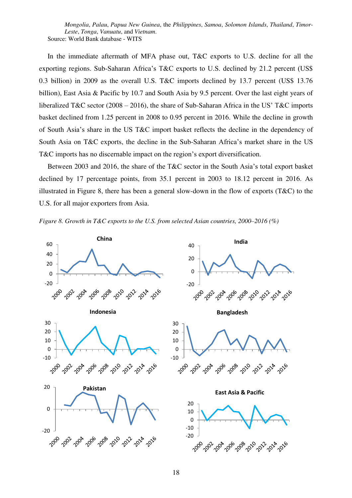*Mongolia*, *Palau*, *Papua New Guinea*, the *Philippines*, *Samoa*, *Solomon Islands*, *Thailand*, *Timor-Leste*, *Tonga*, *Vanuatu*, and *Vietnam*. Source: World Bank database - WITS

In the immediate aftermath of MFA phase out, T&C exports to U.S. decline for all the exporting regions. Sub-Saharan Africa's T&C exports to U.S. declined by 21.2 percent (US\$ 0.3 billion) in 2009 as the overall U.S. T&C imports declined by 13.7 percent (US\$ 13.76 billion), East Asia & Pacific by 10.7 and South Asia by 9.5 percent. Over the last eight years of liberalized T&C sector (2008 – 2016), the share of Sub-Saharan Africa in the US' T&C imports basket declined from 1.25 percent in 2008 to 0.95 percent in 2016. While the decline in growth of South Asia's share in the US T&C import basket reflects the decline in the dependency of South Asia on T&C exports, the decline in the Sub-Saharan Africa's market share in the US T&C imports has no discernable impact on the region's export diversification.

Between 2003 and 2016, the share of the T&C sector in the South Asia's total export basket declined by 17 percentage points, from 35.1 percent in 2003 to 18.12 percent in 2016. As illustrated in Figure 8, there has been a general slow-down in the flow of exports (T&C) to the U.S. for all major exporters from Asia.

*Figure 8. Growth in T&C exports to the U.S. from selected Asian countries, 2000–2016 (%)* 

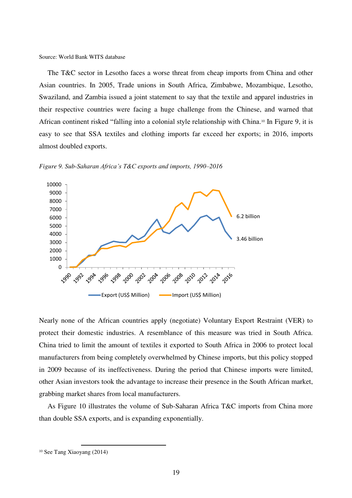Source: World Bank WITS database

The T&C sector in Lesotho faces a worse threat from cheap imports from China and other Asian countries. In 2005, Trade unions in South Africa, Zimbabwe, Mozambique, Lesotho, Swaziland, and Zambia issued a joint statement to say that the textile and apparel industries in their respective countries were facing a huge challenge from the Chinese, and warned that African continent risked "falling into a colonial style relationship with China.10 In Figure 9, it is easy to see that SSA textiles and clothing imports far exceed her exports; in 2016, imports almost doubled exports.



*Figure 9. Sub-Saharan Africa's T&C exports and imports, 1990–2016* 

Nearly none of the African countries apply (negotiate) Voluntary Export Restraint (VER) to protect their domestic industries. A resemblance of this measure was tried in South Africa. China tried to limit the amount of textiles it exported to South Africa in 2006 to protect local manufacturers from being completely overwhelmed by Chinese imports, but this policy stopped in 2009 because of its ineffectiveness. During the period that Chinese imports were limited, other Asian investors took the advantage to increase their presence in the South African market, grabbing market shares from local manufacturers.

As Figure 10 illustrates the volume of Sub-Saharan Africa T&C imports from China more than double SSA exports, and is expanding exponentially.

 $\overline{a}$ 

<sup>10</sup> See Tang Xiaoyang (2014)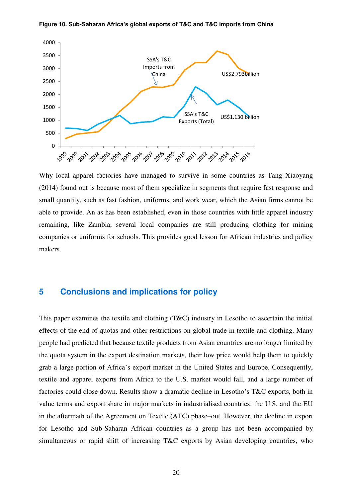

#### **Figure 10. Sub-Saharan Africa's global exports of T&C and T&C imports from China**

Why local apparel factories have managed to survive in some countries as Tang Xiaoyang (2014) found out is because most of them specialize in segments that require fast response and small quantity, such as fast fashion, uniforms, and work wear, which the Asian firms cannot be able to provide. An as has been established, even in those countries with little apparel industry remaining, like Zambia, several local companies are still producing clothing for mining companies or uniforms for schools. This provides good lesson for African industries and policy makers.

# **5 Conclusions and implications for policy**

This paper examines the textile and clothing (T&C) industry in Lesotho to ascertain the initial effects of the end of quotas and other restrictions on global trade in textile and clothing. Many people had predicted that because textile products from Asian countries are no longer limited by the quota system in the export destination markets, their low price would help them to quickly grab a large portion of Africa's export market in the United States and Europe. Consequently, textile and apparel exports from Africa to the U.S. market would fall, and a large number of factories could close down. Results show a dramatic decline in Lesotho's T&C exports, both in value terms and export share in major markets in industrialised countries: the U.S. and the EU in the aftermath of the Agreement on Textile (ATC) phase–out. However, the decline in export for Lesotho and Sub-Saharan African countries as a group has not been accompanied by simultaneous or rapid shift of increasing T&C exports by Asian developing countries, who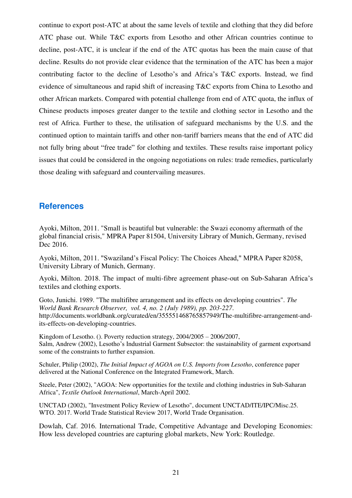continue to export post-ATC at about the same levels of textile and clothing that they did before ATC phase out. While T&C exports from Lesotho and other African countries continue to decline, post-ATC, it is unclear if the end of the ATC quotas has been the main cause of that decline. Results do not provide clear evidence that the termination of the ATC has been a major contributing factor to the decline of Lesotho's and Africa's T&C exports. Instead, we find evidence of simultaneous and rapid shift of increasing T&C exports from China to Lesotho and other African markets. Compared with potential challenge from end of ATC quota, the influx of Chinese products imposes greater danger to the textile and clothing sector in Lesotho and the rest of Africa. Further to these, the utilisation of safeguard mechanisms by the U.S. and the continued option to maintain tariffs and other non-tariff barriers means that the end of ATC did not fully bring about "free trade" for clothing and textiles. These results raise important policy issues that could be considered in the ongoing negotiations on rules: trade remedies, particularly those dealing with safeguard and countervailing measures.

# **References**

Ayoki, Milton, 2011. "Small is beautiful but vulnerable: the Swazi economy aftermath of the global financial crisis," MPRA Paper 81504, University Library of Munich, Germany, revised Dec 2016.

Ayoki, Milton, 2011. "Swaziland's Fiscal Policy: The Choices Ahead," MPRA Paper 82058, University Library of Munich, Germany.

Ayoki, Milton. 2018. The impact of multi-fibre agreement phase-out on Sub-Saharan Africa's textiles and clothing exports.

Goto, Junichi. 1989. "The multifibre arrangement and its effects on developing countries". *The World Bank Research Observer, vol. 4, no. 2 (July 1989), pp. 203-227*. http://documents.worldbank.org/curated/en/355551468765857949/The-multifibre-arrangement-andits-effects-on-developing-countries.

Kingdom of Lesotho. (). Poverty reduction strategy, 2004/2005 – 2006/2007, Salm, Andrew (2002), Lesotho's Industrial Garment Subsector: the sustainability of garment exportsand some of the constraints to further expansion.

Schuler, Philip (2002), *The Initial Impact of AGOA on U.S. Imports from Lesotho*, conference paper delivered at the National Conference on the Integrated Framework, March.

Steele, Peter (2002), "AGOA: New opportunities for the textile and clothing industries in Sub-Saharan Africa", *Textile Outlook International*, March-April 2002.

UNCTAD (2002), "Investment Policy Review of Lesotho", document UNCTAD/ITE/IPC/Misc.25. WTO. 2017. World Trade Statistical Review 2017, World Trade Organisation.

Dowlah, Caf. 2016. International Trade, Competitive Advantage and Developing Economies: How less developed countries are capturing global markets, New York: Routledge.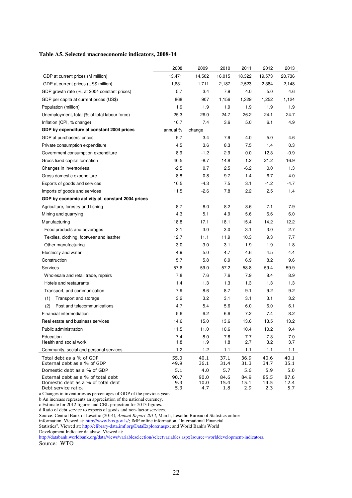| Table A5. Selected macroeconomic indicators, 2008-14 |  |  |
|------------------------------------------------------|--|--|
|------------------------------------------------------|--|--|

|                                                           | 2008         | 2009         | 2010         | 2011         | 2012         | 2013         |
|-----------------------------------------------------------|--------------|--------------|--------------|--------------|--------------|--------------|
| GDP at current prices (M million)                         | 13,471       | 14,502       | 16,015       | 18,322       | 19,573       | 20,736       |
| GDP at current prices (US\$ million)                      | 1,631        | 1,711        | 2,187        | 2,523        | 2,384        | 2,148        |
| GDP growth rate (%, at 2004 constant prices)              | 5.7          | 3.4          | 7.9          | 4.0          | 5.0          | 4.6          |
| GDP per capita at current prices (US\$)                   | 868          | 907          | 1,156        | 1,329        | 1,252        | 1,124        |
| Population (million)                                      | 1.9          | 1.9          | 1.9          | 1.9          | 1.9          | 1.9          |
| Unemployment, total (% of total labour force)             | 25.3         | 26.0         | 24.7         | 26.2         | 24.1         | 24.7         |
| Inflation (CPI, % change)                                 | 10.7         | 7.4          | 3.6          | 5.0          | 6.1          | 4.9          |
| GDP by expenditure at constant 2004 prices                | annual %     | change       |              |              |              |              |
| GDP at purchasers' prices                                 | 5.7          | 3.4          | 7.9          | 4.0          | 5.0          | 4.6          |
| Private consumption expenditure                           | 4.5          | 3.6          | 8.3          | 7.5          | 1.4          | 0.3          |
| Government consumption expenditure                        | 8.9          | $-1.2$       | 2.9          | 0.0          | 12.3         | $-0.9$       |
| Gross fixed capital formation                             | 40.5         | $-8.7$       | 14.8         | 1.2          | 21.2         | 16.9         |
| Changes in inventoriesa                                   | $-2.5$       | 0.7          | 2.5          | $-6.2$       | 0.0          | 1.3          |
| Gross domestic expenditure                                | 8.8          | 0.8          | 9.7          | 1.4          | 6.7          | 4.0          |
| Exports of goods and services                             | 10.5         | -4.3         | 7.5          | 3.1          | -1.2         | -4.7         |
| Imports of goods and services                             | 11.5         | $-2.6$       | 7.8          | 2.2          | 2.5          | 1.4          |
| GDP by economic activity at constant 2004 prices          |              |              |              |              |              |              |
| Agriculture, forestry and fishing                         | 8.7          | 8.0          | 8.2          | 8.6          | 7.1          | 7.9          |
| Mining and quarrying                                      | 4.3          | 5.1          | 4.9          | 5.6          | 6.6          | 6.0          |
| Manufacturing                                             | 18.8         | 17.1         | 18.1         | 15.4         | 14.2         | 12.2         |
| Food products and beverages                               | 3.1          | 3.0          | 3.0          | 3.1          | 3.0          | 2.7          |
| Textiles, clothing, footwear and leather                  | 12.7         | 11.1         | 11.9         | 10.3         | 9.3          | 7.7          |
| Other manufacturing                                       | 3.0          | 3.0          | 3.1          | 1.9          | 1.9          | 1.8          |
| Electricity and water                                     | 4.9          | 5.0          | 4.7          | 4.6          | 4.5          | 4.4          |
| Construction                                              | 5.7          | 5.8          | 6.9          | 6.9          | 8.2          | 9.6          |
| Services                                                  | 57.6         | 59.0         | 57.2         | 58.8         | 59.4         | 59.9         |
| Wholesale and retail trade, repairs                       | 7.8          | 7.6          | 7.6          | 7.9          | 8.4          | 8.9          |
| Hotels and restaurants                                    | 1.4          | 1.3          | 1.3          | 1.3          | 1.3          | 1.3          |
| Transport, and communication                              | 7.9          | 8.6          | 8.7          | 9.1          | 9.2          | 9.2          |
| Transport and storage<br>(1)                              | 3.2          | 3.2          | 3.1          | 3.1          | 3.1          | 3.2          |
| Post and telecommunications<br>(2)                        | 4.7          | 5.4          | 5.6          | 6.0          | 6.0          | 6.1          |
| Financial intermediation                                  | 5.6          | 6.2          | 6.6          | 7.2          | 7.4          | 8.2          |
| Real estate and business services                         | 14.6         | 15.0         | 13.6         | 13.6         | 13.5         | 13.2         |
| Public administration                                     | 11.5         | 11.0         | 10.6         | 10.4         | 10.2         | 9.4          |
| Education<br>Health and social work                       | 7.4<br>1.8   | 8.0<br>1.9   | 7.8<br>1.8   | 7.7<br>2.7   | 7.3<br>3.2   | 7.0<br>3.7   |
| Community, social and personal services                   | 1.2          | 1.2          | 1.1          | 1.1          | 1.1          | 1.1          |
| Total debt as a % of GDP<br>External debt as a % of GDP   | 55.0<br>49.9 | 40.1<br>36.1 | 37.1<br>31.4 | 36.9<br>31.3 | 40.6<br>34.7 | 40.1<br>35.1 |
| Domestic debt as a % of GDP                               | 5.1          | 4.0          | 5.7          | 5.6          | 5.9          | 5.0          |
| External debt as a % of total debt                        | 90.7         | 90.0         | 84.6         | 84.9         | 85.5         | 87.6         |
| Domestic debt as a % of total debt<br>Debt service ratiod | 9.3<br>5.3   | 10.0<br>4.7  | 15.4<br>1.8  | 15.1<br>2.9  | 14.5<br>2.3  | 12.4<br>5.7  |

a Changes in inventories as percentages of GDP of the previous year.

b An increase represents an appreciation of the national currency.

c Estimate for 2012 figures and CBL projection for 2013 figures.

d Ratio of debt service to exports of goods and non-factor services.

Source: Central Bank of Lesotho (2014), *Annual Report 2013*, March; Lesotho Bureau of Statistics online

information. Viewed at: http://www.bos.gov.ls/; IMF online information, "International Financial

Statistics". Viewed at: http://elibrary-data.imf.org/DataExplorer.aspx; and World Bank's World

Development Indicator database. Viewed at:

http://databank.worldbank.org/data/views/variableselection/selectvariables.aspx?source=worlddevelopment-indicators. Source: WTO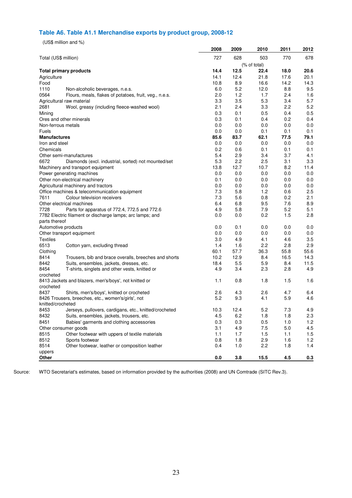### **Table A6. Table A1.1 Merchandise exports by product group, 2008-12**

(US\$ million and %)

| 727<br>628<br>Total (US\$ million)<br>503<br>770<br>678<br>(% of total)<br>12.5<br>14.4<br>22.4<br>20.6<br><b>Total primary products</b><br>18.0<br>12.4<br>21.8<br>20.1<br>14.1<br>17.6<br>Agriculture<br>Food<br>10.8<br>8.9<br>16.6<br>14.2<br>14.3<br>1110<br>5.2<br>6.0<br>12.0<br>8.8<br>9.5<br>Non-alcoholic beverages, n.e.s.<br>1.2<br>2.4<br>0564<br>2.0<br>1.7<br>1.6<br>Flours, meals, flakes of potatoes, fruit, veg., n.e.s.<br>5.3<br>3.4<br>5.7<br>3.3<br>3.5<br>Agricultural raw material<br>3.3<br>2.2<br>5.2<br>2681<br>2.1<br>2.4<br>Wool, greasy (including fleece-washed wool)<br>0.5<br>0.3<br>0.1<br>0.5<br>0.4<br>Mining<br>0.2<br>Ores and other minerals<br>0.3<br>0.1<br>0.4<br>0.4<br>Non-ferrous metals<br>0.0<br>0.0<br>0.0<br>0.0<br>0.0<br>0.1<br>0.1<br>0.1<br>Fuels<br>0.0<br>0.0<br>85.6<br>62.1<br>77.5<br>83.7<br>79.1<br><b>Manufactures</b><br>0.0<br>0.0<br>0.0<br>0.0<br>0.0<br>Iron and steel<br>0.1<br>Chemicals<br>0.2<br>0.6<br>0.1<br>0.1 |
|------------------------------------------------------------------------------------------------------------------------------------------------------------------------------------------------------------------------------------------------------------------------------------------------------------------------------------------------------------------------------------------------------------------------------------------------------------------------------------------------------------------------------------------------------------------------------------------------------------------------------------------------------------------------------------------------------------------------------------------------------------------------------------------------------------------------------------------------------------------------------------------------------------------------------------------------------------------------------------------|
|                                                                                                                                                                                                                                                                                                                                                                                                                                                                                                                                                                                                                                                                                                                                                                                                                                                                                                                                                                                          |
|                                                                                                                                                                                                                                                                                                                                                                                                                                                                                                                                                                                                                                                                                                                                                                                                                                                                                                                                                                                          |
|                                                                                                                                                                                                                                                                                                                                                                                                                                                                                                                                                                                                                                                                                                                                                                                                                                                                                                                                                                                          |
|                                                                                                                                                                                                                                                                                                                                                                                                                                                                                                                                                                                                                                                                                                                                                                                                                                                                                                                                                                                          |
|                                                                                                                                                                                                                                                                                                                                                                                                                                                                                                                                                                                                                                                                                                                                                                                                                                                                                                                                                                                          |
|                                                                                                                                                                                                                                                                                                                                                                                                                                                                                                                                                                                                                                                                                                                                                                                                                                                                                                                                                                                          |
|                                                                                                                                                                                                                                                                                                                                                                                                                                                                                                                                                                                                                                                                                                                                                                                                                                                                                                                                                                                          |
|                                                                                                                                                                                                                                                                                                                                                                                                                                                                                                                                                                                                                                                                                                                                                                                                                                                                                                                                                                                          |
|                                                                                                                                                                                                                                                                                                                                                                                                                                                                                                                                                                                                                                                                                                                                                                                                                                                                                                                                                                                          |
|                                                                                                                                                                                                                                                                                                                                                                                                                                                                                                                                                                                                                                                                                                                                                                                                                                                                                                                                                                                          |
|                                                                                                                                                                                                                                                                                                                                                                                                                                                                                                                                                                                                                                                                                                                                                                                                                                                                                                                                                                                          |
|                                                                                                                                                                                                                                                                                                                                                                                                                                                                                                                                                                                                                                                                                                                                                                                                                                                                                                                                                                                          |
|                                                                                                                                                                                                                                                                                                                                                                                                                                                                                                                                                                                                                                                                                                                                                                                                                                                                                                                                                                                          |
|                                                                                                                                                                                                                                                                                                                                                                                                                                                                                                                                                                                                                                                                                                                                                                                                                                                                                                                                                                                          |
|                                                                                                                                                                                                                                                                                                                                                                                                                                                                                                                                                                                                                                                                                                                                                                                                                                                                                                                                                                                          |
|                                                                                                                                                                                                                                                                                                                                                                                                                                                                                                                                                                                                                                                                                                                                                                                                                                                                                                                                                                                          |
| 2.9<br>3.4<br>3.7<br>Other semi-manufactures<br>5.4<br>4.1                                                                                                                                                                                                                                                                                                                                                                                                                                                                                                                                                                                                                                                                                                                                                                                                                                                                                                                               |
| 5.3<br>2.2<br>3.1<br>3.3<br>6672<br>2.5<br>Diamonds (excl. industrial, sorted) not mounted/set                                                                                                                                                                                                                                                                                                                                                                                                                                                                                                                                                                                                                                                                                                                                                                                                                                                                                           |
| 12.7                                                                                                                                                                                                                                                                                                                                                                                                                                                                                                                                                                                                                                                                                                                                                                                                                                                                                                                                                                                     |
| 8.2<br>13.8<br>10.7<br>11.4<br>Machinery and transport equipment                                                                                                                                                                                                                                                                                                                                                                                                                                                                                                                                                                                                                                                                                                                                                                                                                                                                                                                         |
| 0.0<br>0.0<br>0.0<br>0.0<br>0.0<br>Power generating machines                                                                                                                                                                                                                                                                                                                                                                                                                                                                                                                                                                                                                                                                                                                                                                                                                                                                                                                             |
| 0.0<br>0.0<br>Other non-electrical machinery<br>0.1<br>0.0<br>0.0                                                                                                                                                                                                                                                                                                                                                                                                                                                                                                                                                                                                                                                                                                                                                                                                                                                                                                                        |
| Agricultural machinery and tractors<br>0.0<br>0.0<br>0.0<br>0.0<br>0.0                                                                                                                                                                                                                                                                                                                                                                                                                                                                                                                                                                                                                                                                                                                                                                                                                                                                                                                   |
| 1.2<br>7.3<br>5.8<br>0.6<br>2.5<br>Office machines & telecommunication equipment                                                                                                                                                                                                                                                                                                                                                                                                                                                                                                                                                                                                                                                                                                                                                                                                                                                                                                         |
| 7611<br>0.8<br>0.2<br>2.1<br>7.3<br>5.6<br>Colour television receivers                                                                                                                                                                                                                                                                                                                                                                                                                                                                                                                                                                                                                                                                                                                                                                                                                                                                                                                   |
| 9.5<br>7.6<br>8.9<br>Other electrical machines<br>6.4<br>6.8                                                                                                                                                                                                                                                                                                                                                                                                                                                                                                                                                                                                                                                                                                                                                                                                                                                                                                                             |
| 7.9<br>5.2<br>5.1<br>7728<br>4.9<br>5.8<br>Parts for apparatus of 772.4, 772.5 and 772.6                                                                                                                                                                                                                                                                                                                                                                                                                                                                                                                                                                                                                                                                                                                                                                                                                                                                                                 |
| 0.2<br>1.5<br>2.8<br>0.0<br>0.0<br>7782 Electric filament or discharge lamps; arc lamps; and                                                                                                                                                                                                                                                                                                                                                                                                                                                                                                                                                                                                                                                                                                                                                                                                                                                                                             |
| parts thereof                                                                                                                                                                                                                                                                                                                                                                                                                                                                                                                                                                                                                                                                                                                                                                                                                                                                                                                                                                            |
| Automotive products<br>0.0<br>0.1<br>0.0<br>0.0<br>0.0                                                                                                                                                                                                                                                                                                                                                                                                                                                                                                                                                                                                                                                                                                                                                                                                                                                                                                                                   |
| 0.0<br>0.0<br>0.0<br>0.0<br>0.0<br>Other transport equipment                                                                                                                                                                                                                                                                                                                                                                                                                                                                                                                                                                                                                                                                                                                                                                                                                                                                                                                             |
| 4.1<br>4.6<br>3.5<br><b>Textiles</b><br>3.0<br>4.9                                                                                                                                                                                                                                                                                                                                                                                                                                                                                                                                                                                                                                                                                                                                                                                                                                                                                                                                       |
| 6513<br>2.2<br>2.8<br>2.9<br>1.4<br>1.6<br>Cotton yarn, excluding thread                                                                                                                                                                                                                                                                                                                                                                                                                                                                                                                                                                                                                                                                                                                                                                                                                                                                                                                 |
| 36.3<br>Clothing<br>60.1<br>57.7<br>55.8<br>55.6                                                                                                                                                                                                                                                                                                                                                                                                                                                                                                                                                                                                                                                                                                                                                                                                                                                                                                                                         |
| 8414<br>10.2<br>12.9<br>8.4<br>16.5<br>14.3<br>Trousers, bib and brace overalls, breeches and shorts                                                                                                                                                                                                                                                                                                                                                                                                                                                                                                                                                                                                                                                                                                                                                                                                                                                                                     |
| 8442<br>18.4<br>5.5<br>5.9<br>8.4<br>11.5<br>Suits, ensembles, jackets, dresses, etc.                                                                                                                                                                                                                                                                                                                                                                                                                                                                                                                                                                                                                                                                                                                                                                                                                                                                                                    |
| 8454<br>4.9<br>3.4<br>2.3<br>2.8<br>4.9<br>T-shirts, singlets and other vests, knitted or                                                                                                                                                                                                                                                                                                                                                                                                                                                                                                                                                                                                                                                                                                                                                                                                                                                                                                |
| crocheted                                                                                                                                                                                                                                                                                                                                                                                                                                                                                                                                                                                                                                                                                                                                                                                                                                                                                                                                                                                |
| 1.1<br>0.8<br>1.5<br>8413 Jackets and blazers, men's/boys', not knitted or<br>1.8<br>1.6                                                                                                                                                                                                                                                                                                                                                                                                                                                                                                                                                                                                                                                                                                                                                                                                                                                                                                 |
| crocheted                                                                                                                                                                                                                                                                                                                                                                                                                                                                                                                                                                                                                                                                                                                                                                                                                                                                                                                                                                                |
| 4.7<br>8437<br>2.6<br>4.3<br>2.6<br>6.4<br>Shirts, men's/boys', knitted or crocheted                                                                                                                                                                                                                                                                                                                                                                                                                                                                                                                                                                                                                                                                                                                                                                                                                                                                                                     |
| 5.9<br>4.6<br>8426 Trousers, breeches, etc., women's/girls', not<br>5.2<br>9.3<br>4.1                                                                                                                                                                                                                                                                                                                                                                                                                                                                                                                                                                                                                                                                                                                                                                                                                                                                                                    |
| knitted/crocheted                                                                                                                                                                                                                                                                                                                                                                                                                                                                                                                                                                                                                                                                                                                                                                                                                                                                                                                                                                        |
| 8453<br>10.3<br>12.4<br>5.2<br>7.3<br>4.9<br>Jerseys, pullovers, cardigans, etc., knitted/crocheted                                                                                                                                                                                                                                                                                                                                                                                                                                                                                                                                                                                                                                                                                                                                                                                                                                                                                      |
| 6.2<br>1.8<br>1.8<br>2.3<br>8432<br>Suits, ensembles, jackets, trousers, etc.<br>4.5                                                                                                                                                                                                                                                                                                                                                                                                                                                                                                                                                                                                                                                                                                                                                                                                                                                                                                     |
| 8451<br>0.3<br>1.0<br>1.2<br>Babies' garments and clothing accessories<br>0.3<br>0.5                                                                                                                                                                                                                                                                                                                                                                                                                                                                                                                                                                                                                                                                                                                                                                                                                                                                                                     |
| 3.1<br>4.9<br>5.0<br>4.5<br>7.5<br>Other consumer goods                                                                                                                                                                                                                                                                                                                                                                                                                                                                                                                                                                                                                                                                                                                                                                                                                                                                                                                                  |
| 8515<br>Other footwear with uppers of textile materials<br>1.1<br>1.7<br>1.5<br>1.1<br>1.5                                                                                                                                                                                                                                                                                                                                                                                                                                                                                                                                                                                                                                                                                                                                                                                                                                                                                               |
| 8512<br>1.8<br>2.9<br>1.2<br>Sports footwear<br>0.8<br>1.6                                                                                                                                                                                                                                                                                                                                                                                                                                                                                                                                                                                                                                                                                                                                                                                                                                                                                                                               |
| 8514<br>Other footwear, leather or composition leather<br>2.2<br>1.4<br>0.4<br>1.0<br>1.8                                                                                                                                                                                                                                                                                                                                                                                                                                                                                                                                                                                                                                                                                                                                                                                                                                                                                                |
| uppers                                                                                                                                                                                                                                                                                                                                                                                                                                                                                                                                                                                                                                                                                                                                                                                                                                                                                                                                                                                   |
| 4.5<br>Other<br>0.0<br>3.8<br>15.5<br>0.3                                                                                                                                                                                                                                                                                                                                                                                                                                                                                                                                                                                                                                                                                                                                                                                                                                                                                                                                                |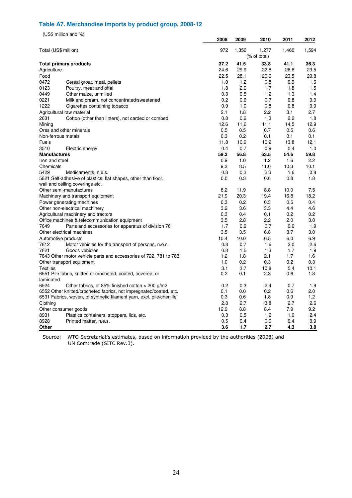### **Table A7. Merchandise imports by product group, 2008-12**

(US\$ million and %)

|                      |                                                                      | 2008 | 2009  | 2010         | 2011  | 2012  |
|----------------------|----------------------------------------------------------------------|------|-------|--------------|-------|-------|
| Total (US\$ million) |                                                                      | 972  | 1,356 | 1,277        | 1,460 | 1,594 |
|                      |                                                                      |      |       | (% of total) |       |       |
|                      | <b>Total primary products</b>                                        | 37.2 | 41.5  | 33.8         | 41.1  | 36.3  |
| Agriculture          |                                                                      | 24.6 | 29.9  | 22.8         | 26.6  | 23.5  |
| Food                 |                                                                      | 22.5 | 28.1  | 20.6         | 23.5  | 20.8  |
| 0472                 | Cereal groat, meal, pellets                                          | 1.0  | 1.2   | 0.8          | 0.9   | 1.6   |
| 0123                 | Poultry, meat and offal                                              | 1.8  | 2.0   | 1.7          | 1.8   | 1.5   |
| 0449                 | Other maize, unmilled                                                | 0.3  | 0.5   | 1.2          | 1.3   | 1.4   |
| 0221                 | Milk and cream, not concentrated/sweetened                           | 0.2  | 0.6   | 0.7          | 0.8   | 0.9   |
| 1222                 | Cigarettes containing tobacco                                        | 0.9  | 1.0   | 0.8          | 0.8   | 0.9   |
|                      | Agricultural raw material                                            | 2.1  | 1.8   | 2.2          | 3.1   | 2.7   |
| 2631                 | Cotton (other than linters), not carded or combed                    | 0.8  | 0.2   | 1.3          | 2.2   | 1.8   |
| Mining               |                                                                      | 12.6 | 11.6  | 11.1         | 14.5  | 12.9  |
|                      | Ores and other minerals                                              | 0.5  | 0.5   | 0.7          | 0.5   | 0.6   |
| Non-ferrous metals   |                                                                      | 0.3  | 0.2   | 0.1          | 0.1   | 0.1   |
| <b>Fuels</b>         |                                                                      | 11.8 | 10.9  | 10.2         | 13.8  | 12.1  |
| 3510                 | Electric energy                                                      | 0.4  | 0.7   | 0.9          | 0.4   | 1.0   |
| <b>Manufactures</b>  |                                                                      | 59.2 | 56.8  | 63.5         | 54.6  | 59.8  |
| Iron and steel       |                                                                      | 0.9  | 1.0   | 1.2          | 1.6   | 2.2   |
| Chemicals            |                                                                      | 9.3  | 8.5   | 11.0         | 10.3  | 10.1  |
| 5429                 | Medicaments, n.e.s.                                                  | 0.3  | 0.3   | 2.3          | 1.6   | 0.8   |
|                      | 5821 Self-adhesive of plastics, flat shapes, other than floor,       | 0.0  | 0.3   | 0.6          | 0.8   | 1.8   |
|                      | wall and ceiling coverings etc.                                      |      |       |              |       |       |
|                      | Other semi-manufactures                                              | 8.2  | 11.9  | 8.8          | 10.0  | 7.5   |
|                      | Machinery and transport equipment                                    | 21.9 | 20.3  | 19.4         | 16.8  | 18.2  |
|                      | Power generating machines                                            | 0.3  | 0.2   | 0.3          | 0.5   | 0.4   |
|                      | Other non-electrical machinery                                       | 3.2  | 3.6   | 3.3          | 4.4   | 4.6   |
|                      | Agricultural machinery and tractors                                  | 0.3  | 0.4   | 0.1          | 0.2   | 0.2   |
|                      | Office machines & telecommunication equipment                        | 3.5  | 2.8   | 2.2          | 2.0   | 3.0   |
| 7649                 | Parts and accessories for apparatus of division 76                   | 1.7  | 0.9   | 0.7          | 0.6   | 1.9   |
|                      | Other electrical machines                                            | 3.5  | 3.5   | 6.8          | 3.7   | 3.0   |
| Automotive products  |                                                                      | 10.4 | 10.0  | 6.5          | 6.0   | 6.9   |
| 7812                 | Motor vehicles for the transport of persons, n.e.s.                  | 0.8  | 0.7   | 1.6          | 2.0   | 2.6   |
| 7821                 | Goods vehicles                                                       | 0.8  | 1.5   | 1.3          | 1.7   | 1.9   |
|                      | 7843 Other motor vehicle parts and accessories of 722, 781 to 783    | 1.2  | 1.8   | 2.1          | 1.7   | 1.6   |
|                      | Other transport equipment                                            | 1.0  | 0.2   | 0.3          | 0.2   | 0.3   |
| <b>Textiles</b>      |                                                                      | 3.1  | 3.7   | 10.8         | 5.4   | 10.1  |
|                      | 6551 Pile fabric, knitted or crocheted, coated, covered, or          | 0.2  | 0.1   | 2.3          | 0.6   | 1.3   |
| laminated            |                                                                      |      |       |              |       |       |
| 6524                 | Other fabrics, of 85% finished cotton > 200 g/m2                     | 0.2  | 0.3   | 2.4          | 0.7   | 1.9   |
|                      | 6552 Other knitted/crocheted fabrics, not impregnated/coated, etc.   | 0.1  | 0.0   | 0.2          | 0.6   | 2.0   |
|                      | 6531 Fabrics, woven, of synthetic filament yarn, excl. pile/chenille | 0.3  | 0.6   | 1.8          | 0.9   | 1.2   |
| Clothing             |                                                                      | 2.8  | 2.7   | 3.8          | 2.7   | 2.6   |
|                      | Other consumer goods                                                 | 12.9 | 8.8   | 8.4          | 7.9   | 9.2   |
| 8931                 | Plastics containers, stoppers, lids, etc.                            | 0.3  | 0.5   | 1.2          | 1.0   | 2.4   |
| 8928                 | Printed matter, n.e.s.                                               | 0.5  | 0.4   | 0.6          | 0.4   | 0.9   |
| Other                |                                                                      | 3.6  | 1.7   | 2.7          | 4.3   | 3.8   |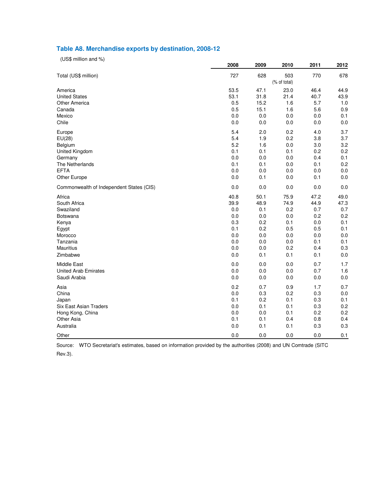#### **Table A8. Merchandise exports by destination, 2008-12**

(US\$ million and %)

|                                          | 2008 | 2009 | 2010                | 2011 | 2012 |
|------------------------------------------|------|------|---------------------|------|------|
| Total (US\$ million)                     | 727  | 628  | 503<br>(% of total) | 770  | 678  |
| America                                  | 53.5 | 47.1 | 23.0                | 46.4 | 44.9 |
| <b>United States</b>                     | 53.1 | 31.8 | 21.4                | 40.7 | 43.9 |
| <b>Other America</b>                     | 0.5  | 15.2 | 1.6                 | 5.7  | 1.0  |
| Canada                                   | 0.5  | 15.1 | 1.6                 | 5.6  | 0.9  |
| Mexico                                   | 0.0  | 0.0  | 0.0                 | 0.0  | 0.1  |
| Chile                                    | 0.0  | 0.0  | 0.0                 | 0.0  | 0.0  |
| Europe                                   | 5.4  | 2.0  | 0.2                 | 4.0  | 3.7  |
| EU(28)                                   | 5.4  | 1.9  | 0.2                 | 3.8  | 3.7  |
| Belgium                                  | 5.2  | 1.6  | 0.0                 | 3.0  | 3.2  |
| United Kingdom                           | 0.1  | 0.1  | 0.1                 | 0.2  | 0.2  |
| Germany                                  | 0.0  | 0.0  | 0.0                 | 0.4  | 0.1  |
| The Netherlands                          | 0.1  | 0.1  | 0.0                 | 0.1  | 0.2  |
| <b>EFTA</b>                              | 0.0  | 0.0  | 0.0                 | 0.0  | 0.0  |
| Other Europe                             | 0.0  | 0.1  | 0.0                 | 0.1  | 0.0  |
| Commonwealth of Independent States (CIS) | 0.0  | 0.0  | 0.0                 | 0.0  | 0.0  |
| Africa                                   | 40.8 | 50.1 | 75.9                | 47.2 | 49.0 |
| South Africa                             | 39.9 | 48.9 | 74.9                | 44.9 | 47.3 |
| Swaziland                                | 0.0  | 0.1  | 0.2                 | 0.7  | 0.7  |
| Botswana                                 | 0.0  | 0.0  | 0.0                 | 0.2  | 0.2  |
| Kenya                                    | 0.3  | 0.2  | 0.1                 | 0.0  | 0.1  |
| Egypt                                    | 0.1  | 0.2  | 0.5                 | 0.5  | 0.1  |
| Morocco                                  | 0.0  | 0.0  | 0.0                 | 0.0  | 0.0  |
| Tanzania                                 | 0.0  | 0.0  | 0.0                 | 0.1  | 0.1  |
| <b>Mauritius</b>                         | 0.0  | 0.0  | 0.2                 | 0.4  | 0.3  |
| Zimbabwe                                 | 0.0  | 0.1  | 0.1                 | 0.1  | 0.0  |
| Middle East                              | 0.0  | 0.0  | 0.0                 | 0.7  | 1.7  |
| <b>United Arab Emirates</b>              | 0.0  | 0.0  | 0.0                 | 0.7  | 1.6  |
| Saudi Arabia                             | 0.0  | 0.0  | 0.0                 | 0.0  | 0.0  |
| Asia                                     | 0.2  | 0.7  | 0.9                 | 1.7  | 0.7  |
| China                                    | 0.0  | 0.3  | 0.2                 | 0.3  | 0.0  |
| Japan                                    | 0.1  | 0.2  | 0.1                 | 0.3  | 0.1  |
| <b>Six East Asian Traders</b>            | 0.0  | 0.1  | 0.1                 | 0.3  | 0.2  |
| Hong Kong, China                         | 0.0  | 0.0  | 0.1                 | 0.2  | 0.2  |
| Other Asia                               | 0.1  | 0.1  | 0.4                 | 0.8  | 0.4  |
| Australia                                | 0.0  | 0.1  | 0.1                 | 0.3  | 0.3  |
| Other                                    | 0.0  | 0.0  | 0.0                 | 0.0  | 0.1  |